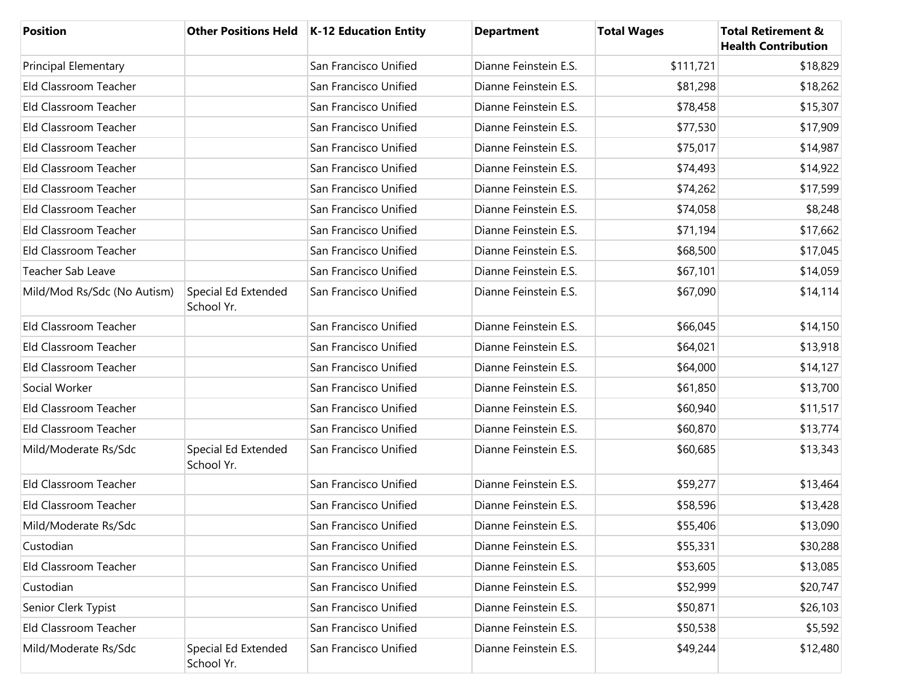| <b>Position</b>             |                                   | Other Positions Held   K-12 Education Entity | <b>Department</b>     | <b>Total Wages</b> | <b>Total Retirement &amp;</b><br><b>Health Contribution</b> |
|-----------------------------|-----------------------------------|----------------------------------------------|-----------------------|--------------------|-------------------------------------------------------------|
| <b>Principal Elementary</b> |                                   | San Francisco Unified                        | Dianne Feinstein E.S. | \$111,721          | \$18,829                                                    |
| Eld Classroom Teacher       |                                   | San Francisco Unified                        | Dianne Feinstein E.S. | \$81,298           | \$18,262                                                    |
| Eld Classroom Teacher       |                                   | San Francisco Unified                        | Dianne Feinstein E.S. | \$78,458           | \$15,307                                                    |
| Eld Classroom Teacher       |                                   | San Francisco Unified                        | Dianne Feinstein E.S. | \$77,530           | \$17,909                                                    |
| Eld Classroom Teacher       |                                   | San Francisco Unified                        | Dianne Feinstein E.S. | \$75,017           | \$14,987                                                    |
| Eld Classroom Teacher       |                                   | San Francisco Unified                        | Dianne Feinstein E.S. | \$74,493           | \$14,922                                                    |
| Eld Classroom Teacher       |                                   | San Francisco Unified                        | Dianne Feinstein E.S. | \$74,262           | \$17,599                                                    |
| Eld Classroom Teacher       |                                   | San Francisco Unified                        | Dianne Feinstein E.S. | \$74,058           | \$8,248                                                     |
| Eld Classroom Teacher       |                                   | San Francisco Unified                        | Dianne Feinstein E.S. | \$71,194           | \$17,662                                                    |
| Eld Classroom Teacher       |                                   | San Francisco Unified                        | Dianne Feinstein E.S. | \$68,500           | \$17,045                                                    |
| Teacher Sab Leave           |                                   | San Francisco Unified                        | Dianne Feinstein E.S. | \$67,101           | \$14,059                                                    |
| Mild/Mod Rs/Sdc (No Autism) | Special Ed Extended<br>School Yr. | San Francisco Unified                        | Dianne Feinstein E.S. | \$67,090           | \$14,114                                                    |
| Eld Classroom Teacher       |                                   | San Francisco Unified                        | Dianne Feinstein E.S. | \$66,045           | \$14,150                                                    |
| Eld Classroom Teacher       |                                   | San Francisco Unified                        | Dianne Feinstein E.S. | \$64,021           | \$13,918                                                    |
| Eld Classroom Teacher       |                                   | San Francisco Unified                        | Dianne Feinstein E.S. | \$64,000           | \$14,127                                                    |
| Social Worker               |                                   | San Francisco Unified                        | Dianne Feinstein E.S. | \$61,850           | \$13,700                                                    |
| Eld Classroom Teacher       |                                   | San Francisco Unified                        | Dianne Feinstein E.S. | \$60,940           | \$11,517                                                    |
| Eld Classroom Teacher       |                                   | San Francisco Unified                        | Dianne Feinstein E.S. | \$60,870           | \$13,774                                                    |
| Mild/Moderate Rs/Sdc        | Special Ed Extended<br>School Yr. | San Francisco Unified                        | Dianne Feinstein E.S. | \$60,685           | \$13,343                                                    |
| Eld Classroom Teacher       |                                   | San Francisco Unified                        | Dianne Feinstein E.S. | \$59,277           | \$13,464                                                    |
| Eld Classroom Teacher       |                                   | San Francisco Unified                        | Dianne Feinstein E.S. | \$58,596           | \$13,428                                                    |
| Mild/Moderate Rs/Sdc        |                                   | San Francisco Unified                        | Dianne Feinstein E.S. | \$55,406           | \$13,090                                                    |
| Custodian                   |                                   | San Francisco Unified                        | Dianne Feinstein E.S. | \$55,331           | \$30,288                                                    |
| Eld Classroom Teacher       |                                   | San Francisco Unified                        | Dianne Feinstein E.S. | \$53,605           | \$13,085                                                    |
| Custodian                   |                                   | San Francisco Unified                        | Dianne Feinstein E.S. | \$52,999           | \$20,747                                                    |
| Senior Clerk Typist         |                                   | San Francisco Unified                        | Dianne Feinstein E.S. | \$50,871           | \$26,103                                                    |
| Eld Classroom Teacher       |                                   | San Francisco Unified                        | Dianne Feinstein E.S. | \$50,538           | \$5,592                                                     |
| Mild/Moderate Rs/Sdc        | Special Ed Extended<br>School Yr. | San Francisco Unified                        | Dianne Feinstein E.S. | \$49,244           | \$12,480                                                    |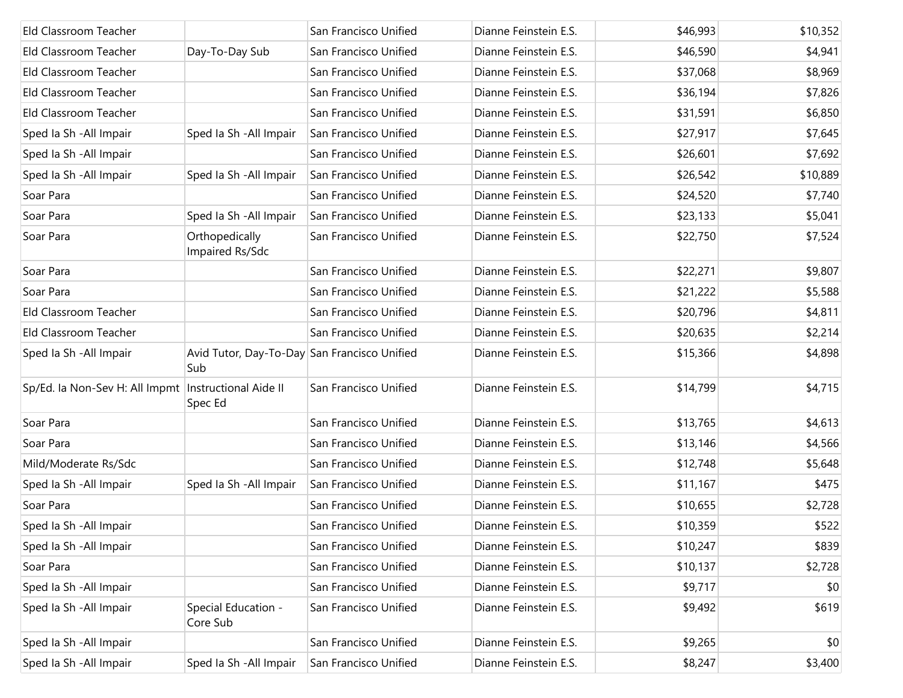| Eld Classroom Teacher                                  |                                                     | San Francisco Unified | Dianne Feinstein E.S. | \$46,993 | \$10,352 |
|--------------------------------------------------------|-----------------------------------------------------|-----------------------|-----------------------|----------|----------|
| Eld Classroom Teacher                                  | Day-To-Day Sub                                      | San Francisco Unified | Dianne Feinstein E.S. | \$46,590 | \$4,941  |
| Eld Classroom Teacher                                  |                                                     | San Francisco Unified | Dianne Feinstein E.S. | \$37,068 | \$8,969  |
| Eld Classroom Teacher                                  |                                                     | San Francisco Unified | Dianne Feinstein E.S. | \$36,194 | \$7,826  |
| Eld Classroom Teacher                                  |                                                     | San Francisco Unified | Dianne Feinstein E.S. | \$31,591 | \$6,850  |
| Sped la Sh - All Impair                                | Sped Ia Sh - All Impair                             | San Francisco Unified | Dianne Feinstein E.S. | \$27,917 | \$7,645  |
| Sped la Sh - All Impair                                |                                                     | San Francisco Unified | Dianne Feinstein E.S. | \$26,601 | \$7,692  |
| Sped Ia Sh - All Impair                                | Sped Ia Sh - All Impair                             | San Francisco Unified | Dianne Feinstein E.S. | \$26,542 | \$10,889 |
| Soar Para                                              |                                                     | San Francisco Unified | Dianne Feinstein E.S. | \$24,520 | \$7,740  |
| Soar Para                                              | Sped Ia Sh - All Impair                             | San Francisco Unified | Dianne Feinstein E.S. | \$23,133 | \$5,041  |
| Soar Para                                              | Orthopedically<br>Impaired Rs/Sdc                   | San Francisco Unified | Dianne Feinstein E.S. | \$22,750 | \$7,524  |
| Soar Para                                              |                                                     | San Francisco Unified | Dianne Feinstein E.S. | \$22,271 | \$9,807  |
| Soar Para                                              |                                                     | San Francisco Unified | Dianne Feinstein E.S. | \$21,222 | \$5,588  |
| Eld Classroom Teacher                                  |                                                     | San Francisco Unified | Dianne Feinstein E.S. | \$20,796 | \$4,811  |
| Eld Classroom Teacher                                  |                                                     | San Francisco Unified | Dianne Feinstein E.S. | \$20,635 | \$2,214  |
| Sped Ia Sh - All Impair                                | Avid Tutor, Day-To-Day San Francisco Unified<br>Sub |                       | Dianne Feinstein E.S. | \$15,366 | \$4,898  |
| Sp/Ed. la Non-Sev H: All Impmt   Instructional Aide II | Spec Ed                                             | San Francisco Unified | Dianne Feinstein E.S. | \$14,799 | \$4,715  |
| Soar Para                                              |                                                     | San Francisco Unified | Dianne Feinstein E.S. | \$13,765 | \$4,613  |
| Soar Para                                              |                                                     | San Francisco Unified | Dianne Feinstein E.S. | \$13,146 | \$4,566  |
| Mild/Moderate Rs/Sdc                                   |                                                     | San Francisco Unified | Dianne Feinstein E.S. | \$12,748 | \$5,648  |
| Sped Ia Sh - All Impair                                | Sped Ia Sh - All Impair                             | San Francisco Unified | Dianne Feinstein E.S. | \$11,167 | \$475    |
| Soar Para                                              |                                                     | San Francisco Unified | Dianne Feinstein E.S. | \$10,655 | \$2,728  |
| Sped Ia Sh - All Impair                                |                                                     | San Francisco Unified | Dianne Feinstein E.S. | \$10,359 | \$522    |
| Sped Ia Sh - All Impair                                |                                                     | San Francisco Unified | Dianne Feinstein E.S. | \$10,247 | \$839    |
| Soar Para                                              |                                                     | San Francisco Unified | Dianne Feinstein E.S. | \$10,137 | \$2,728  |
| Sped Ia Sh - All Impair                                |                                                     | San Francisco Unified | Dianne Feinstein E.S. | \$9,717  | \$0      |
| Sped Ia Sh - All Impair                                | Special Education -<br>Core Sub                     | San Francisco Unified | Dianne Feinstein E.S. | \$9,492  | \$619    |
| Sped Ia Sh - All Impair                                |                                                     | San Francisco Unified | Dianne Feinstein E.S. | \$9,265  | \$0      |
| Sped la Sh - All Impair                                | Sped Ia Sh - All Impair                             | San Francisco Unified | Dianne Feinstein E.S. | \$8,247  | \$3,400  |